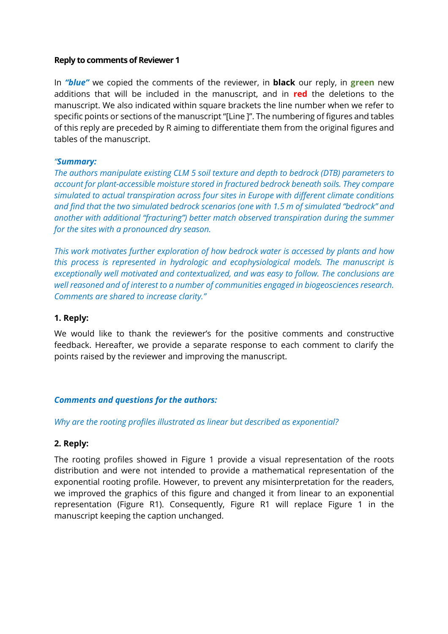#### **Reply to comments of Reviewer 1**

In *"blue"* we copied the comments of the reviewer, in **black** our reply, in **green** new additions that will be included in the manuscript, and in **red** the deletions to the manuscript. We also indicated within square brackets the line number when we refer to specific points or sections of the manuscript "[Line ]". The numbering of figures and tables of this reply are preceded by R aiming to differentiate them from the original figures and tables of the manuscript.

#### *"Summary:*

*The authors manipulate existing CLM 5 soil texture and depth to bedrock (DTB) parameters to account for plant-accessible moisture stored in fractured bedrock beneath soils. They compare simulated to actual transpiration across four sites in Europe with different climate conditions and find that the two simulated bedrock scenarios (one with 1.5 m of simulated "bedrock" and another with additional "fracturing") better match observed transpiration during the summer for the sites with a pronounced dry season.*

*This work motivates further exploration of how bedrock water is accessed by plants and how this process is represented in hydrologic and ecophysiological models. The manuscript is exceptionally well motivated and contextualized, and was easy to follow. The conclusions are well reasoned and of interest to a number of communities engaged in biogeosciences research. Comments are shared to increase clarity."*

#### **1. Reply:**

We would like to thank the reviewer's for the positive comments and constructive feedback. Hereafter, we provide a separate response to each comment to clarify the points raised by the reviewer and improving the manuscript.

### *Comments and questions for the authors:*

#### *Why are the rooting profiles illustrated as linear but described as exponential?*

### **2. Reply:**

The rooting profiles showed in Figure 1 provide a visual representation of the roots distribution and were not intended to provide a mathematical representation of the exponential rooting profile. However, to prevent any misinterpretation for the readers, we improved the graphics of this figure and changed it from linear to an exponential representation (Figure R1). Consequently, Figure R1 will replace Figure 1 in the manuscript keeping the caption unchanged.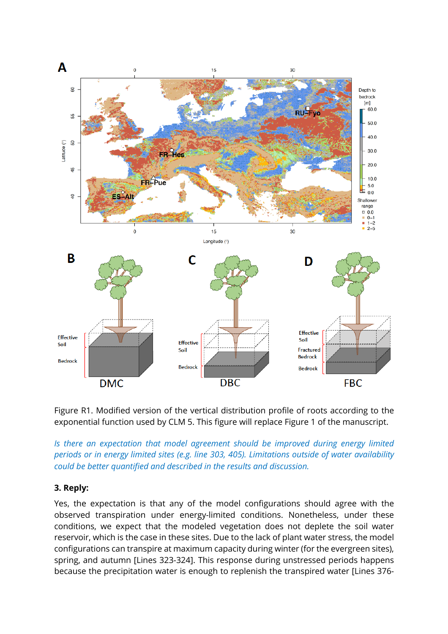

Figure R1. Modified version of the vertical distribution profile of roots according to the exponential function used by CLM 5. This figure will replace Figure 1 of the manuscript.

*Is there an expectation that model agreement should be improved during energy limited periods or in energy limited sites (e.g. line 303, 405). Limitations outside of water availability could be better quantified and described in the results and discussion.*

### **3. Reply:**

Yes, the expectation is that any of the model configurations should agree with the observed transpiration under energy-limited conditions. Nonetheless, under these conditions, we expect that the modeled vegetation does not deplete the soil water reservoir, which is the case in these sites. Due to the lack of plant water stress, the model configurations can transpire at maximum capacity during winter (for the evergreen sites), spring, and autumn [Lines 323-324]. This response during unstressed periods happens because the precipitation water is enough to replenish the transpired water [Lines 376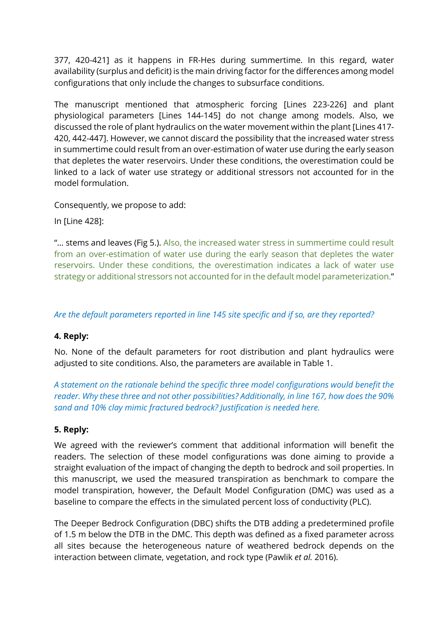377, 420-421] as it happens in FR-Hes during summertime. In this regard, water availability (surplus and deficit) is the main driving factor for the differences among model configurations that only include the changes to subsurface conditions.

The manuscript mentioned that atmospheric forcing [Lines 223-226] and plant physiological parameters [Lines 144-145] do not change among models. Also, we discussed the role of plant hydraulics on the water movement within the plant [Lines 417- 420, 442-447]. However, we cannot discard the possibility that the increased water stress in summertime could result from an over-estimation of water use during the early season that depletes the water reservoirs. Under these conditions, the overestimation could be linked to a lack of water use strategy or additional stressors not accounted for in the model formulation.

Consequently, we propose to add:

In [Line 428]:

"... stems and leaves (Fig 5.). Also, the increased water stress in summertime could result from an over-estimation of water use during the early season that depletes the water reservoirs. Under these conditions, the overestimation indicates a lack of water use strategy or additional stressors not accounted for in the default model parameterization."

## *Are the default parameters reported in line 145 site specific and if so, are they reported?*

### **4. Reply:**

No. None of the default parameters for root distribution and plant hydraulics were adjusted to site conditions. Also, the parameters are available in Table 1.

*A statement on the rationale behind the specific three model configurations would benefit the reader. Why these three and not other possibilities? Additionally, in line 167, how does the 90% sand and 10% clay mimic fractured bedrock? Justification is needed here.*

### **5. Reply:**

We agreed with the reviewer's comment that additional information will benefit the readers. The selection of these model configurations was done aiming to provide a straight evaluation of the impact of changing the depth to bedrock and soil properties. In this manuscript, we used the measured transpiration as benchmark to compare the model transpiration, however, the Default Model Configuration (DMC) was used as a baseline to compare the effects in the simulated percent loss of conductivity (PLC).

The Deeper Bedrock Configuration (DBC) shifts the DTB adding a predetermined profile of 1.5 m below the DTB in the DMC. This depth was defined as a fixed parameter across all sites because the heterogeneous nature of weathered bedrock depends on the interaction between climate, vegetation, and rock type (Pawlik *et al.* 2016).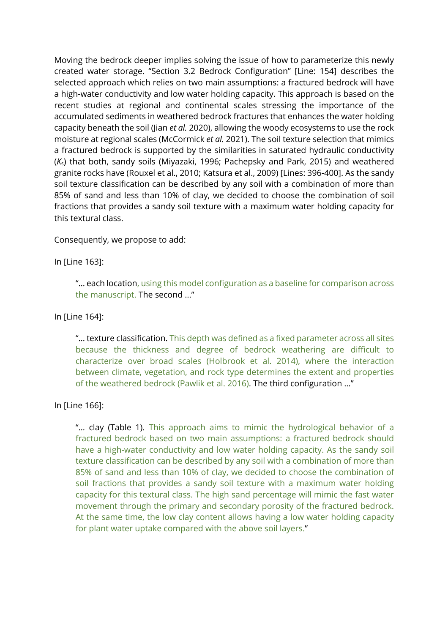Moving the bedrock deeper implies solving the issue of how to parameterize this newly created water storage. "Section 3.2 Bedrock Configuration" [Line: 154] describes the selected approach which relies on two main assumptions: a fractured bedrock will have a high-water conductivity and low water holding capacity. This approach is based on the recent studies at regional and continental scales stressing the importance of the accumulated sediments in weathered bedrock fractures that enhances the water holding capacity beneath the soil (Jian *et al.* 2020), allowing the woody ecosystems to use the rock moisture at regional scales (McCormick *et al.* 2021). The soil texture selection that mimics a fractured bedrock is supported by the similarities in saturated hydraulic conductivity (*K*s) that both, sandy soils (Miyazaki, 1996; Pachepsky and Park, 2015) and weathered granite rocks have (Rouxel et al., 2010; Katsura et al., 2009) [Lines: 396-400]. As the sandy soil texture classification can be described by any soil with a combination of more than 85% of sand and less than 10% of clay, we decided to choose the combination of soil fractions that provides a sandy soil texture with a maximum water holding capacity for this textural class.

Consequently, we propose to add:

In [Line 163]:

"… each location, using this model configuration as a baseline for comparison across the manuscript. The second …"

In [Line 164]:

"… texture classification. This depth was defined as a fixed parameter across all sites because the thickness and degree of bedrock weathering are difficult to characterize over broad scales (Holbrook et al. 2014), where the interaction between climate, vegetation, and rock type determines the extent and properties of the weathered bedrock (Pawlik et al. 2016). The third configuration …"

In [Line 166]:

"… clay (Table 1). This approach aims to mimic the hydrological behavior of a fractured bedrock based on two main assumptions: a fractured bedrock should have a high-water conductivity and low water holding capacity. As the sandy soil texture classification can be described by any soil with a combination of more than 85% of sand and less than 10% of clay, we decided to choose the combination of soil fractions that provides a sandy soil texture with a maximum water holding capacity for this textural class. The high sand percentage will mimic the fast water movement through the primary and secondary porosity of the fractured bedrock. At the same time, the low clay content allows having a low water holding capacity for plant water uptake compared with the above soil layers."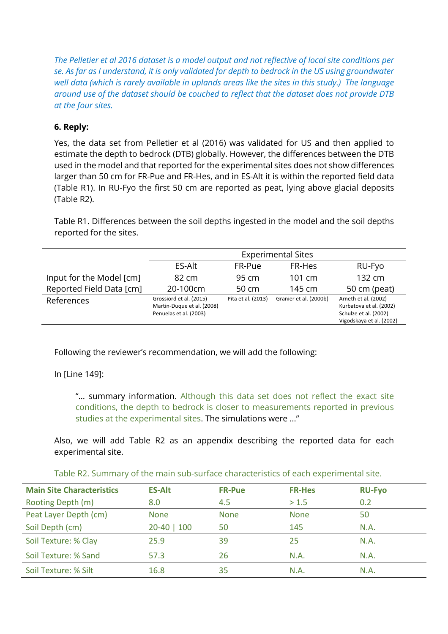*The Pelletier et al 2016 dataset is a model output and not reflective of local site conditions per se. As far as I understand, it is only validated for depth to bedrock in the US using groundwater well data (which is rarely available in uplands areas like the sites in this study.) The language around use of the dataset should be couched to reflect that the dataset does not provide DTB at the four sites.*

# **6. Reply:**

Yes, the data set from Pelletier et al (2016) was validated for US and then applied to estimate the depth to bedrock (DTB) globally. However, the differences between the DTB used in the model and that reported for the experimental sites does not show differences larger than 50 cm for FR-Pue and FR-Hes, and in ES-Alt it is within the reported field data (Table R1). In RU-Fyo the first 50 cm are reported as peat, lying above glacial deposits (Table R2).

Table R1. Differences between the soil depths ingested in the model and the soil depths reported for the sites.

|                          | <b>Experimental Sites</b>                                                       |                     |                        |                                                                                                      |
|--------------------------|---------------------------------------------------------------------------------|---------------------|------------------------|------------------------------------------------------------------------------------------------------|
|                          | ES-Alt                                                                          | FR-Pue              | FR-Hes                 | RU-Fyo                                                                                               |
| Input for the Model [cm] | 82 cm                                                                           | $95 \, \mathrm{cm}$ | $101 \text{ cm}$       | $132 \text{ cm}$                                                                                     |
| Reported Field Data [cm] | 20-100cm                                                                        | $50 \, \text{cm}$   | $145 \text{ cm}$       | 50 cm (peat)                                                                                         |
| References               | Grossiord et al. (2015)<br>Martin-Duque et al. (2008)<br>Penuelas et al. (2003) | Pita et al. (2013)  | Granier et al. (2000b) | Arneth et al. (2002)<br>Kurbatova et al. (2002)<br>Schulze et al. (2002)<br>Vigodskaya et al. (2002) |

Following the reviewer's recommendation, we will add the following:

In [Line 149]:

"... summary information. Although this data set does not reflect the exact site conditions, the depth to bedrock is closer to measurements reported in previous studies at the experimental sites. The simulations were …"

Also, we will add Table R2 as an appendix describing the reported data for each experimental site.

| Table R2. Summary of the main sub-surface characteristics of each experimental site. |  |  |  |
|--------------------------------------------------------------------------------------|--|--|--|
|                                                                                      |  |  |  |

| <b>Main Site Characteristics</b> | <b>ES-Alt</b> | <b>FR-Pue</b> | <b>FR-Hes</b> | <b>RU-Fyo</b> |  |
|----------------------------------|---------------|---------------|---------------|---------------|--|
| Rooting Depth (m)                | 8.0           | 4.5           | > 1.5         | 0.2           |  |
| Peat Layer Depth (cm)            | <b>None</b>   | <b>None</b>   | <b>None</b>   | 50            |  |
| Soil Depth (cm)                  | $20-40$   100 | 50            | 145           | N.A.          |  |
| Soil Texture: % Clay             | 25.9          | 39            | 25            | N.A.          |  |
| Soil Texture: % Sand             | 57.3          | 26            | N.A.          | N.A.          |  |
| Soil Texture: % Silt             | 16.8          | 35            | N.A.          | N.A.          |  |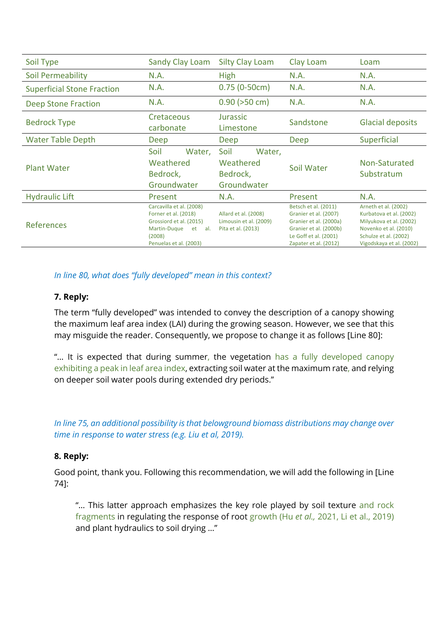| Soil Type                         | <b>Sandy Clay Loam</b>                                                                                                                    | <b>Silty Clay Loam</b>                                               | Clay Loam                                                                                                                                           | Loam                                                                                                                                                     |
|-----------------------------------|-------------------------------------------------------------------------------------------------------------------------------------------|----------------------------------------------------------------------|-----------------------------------------------------------------------------------------------------------------------------------------------------|----------------------------------------------------------------------------------------------------------------------------------------------------------|
| Soil Permeability                 | N.A.                                                                                                                                      | <b>High</b>                                                          | N.A.                                                                                                                                                | N.A.                                                                                                                                                     |
| <b>Superficial Stone Fraction</b> | N.A.                                                                                                                                      | $0.75(0-50cm)$                                                       | N.A.                                                                                                                                                | N.A.                                                                                                                                                     |
| <b>Deep Stone Fraction</b>        | N.A.                                                                                                                                      | $0.90$ ( $>50$ cm)                                                   | N.A.                                                                                                                                                | N.A.                                                                                                                                                     |
| <b>Bedrock Type</b>               | Cretaceous<br>carbonate                                                                                                                   | Jurassic<br>Limestone                                                | Sandstone                                                                                                                                           | <b>Glacial deposits</b>                                                                                                                                  |
| <b>Water Table Depth</b>          | Deep                                                                                                                                      | Deep                                                                 | Deep                                                                                                                                                | Superficial                                                                                                                                              |
| <b>Plant Water</b>                | Soil<br>Water,<br>Weathered<br>Bedrock,<br>Groundwater                                                                                    | Soil<br>Water,<br>Weathered<br>Bedrock,<br>Groundwater               | Soil Water                                                                                                                                          | Non-Saturated<br>Substratum                                                                                                                              |
| <b>Hydraulic Lift</b>             | Present                                                                                                                                   | N.A.                                                                 | Present                                                                                                                                             | N.A.                                                                                                                                                     |
| <b>References</b>                 | Carcavilla et al. (2008)<br>Forner et al. (2018)<br>Grossiord et al. (2015)<br>Martin-Duque<br>et al.<br>(2008)<br>Penuelas et al. (2003) | Allard et al. (2008)<br>Limousin et al. (2009)<br>Pita et al. (2013) | Betsch et al. (2011)<br>Granier et al. (2007)<br>Granier et al. (2000a)<br>Granier et al. (2000b)<br>Le Goff et al. (2001)<br>Zapater et al. (2012) | Arneth et al. (2002)<br>Kurbatova et al. (2002)<br>Milyukova et al. (2002)<br>Novenko et al. (2010)<br>Schulze et al. (2002)<br>Vigodskaya et al. (2002) |

## *In line 80, what does "fully developed" mean in this context?*

### **7. Reply:**

The term "fully developed" was intended to convey the description of a canopy showing the maximum leaf area index (LAI) during the growing season. However, we see that this may misguide the reader. Consequently, we propose to change it as follows [Line 80]:

"… It is expected that during summer, the vegetation has a fully developed canopy exhibiting a peak in leaf area index, extracting soil water at the maximum rate, and relying on deeper soil water pools during extended dry periods."

*In line 75, an additional possibility is that belowground biomass distributions may change over time in response to water stress (e.g. Liu et al, 2019).*

### **8. Reply:**

Good point, thank you. Following this recommendation, we will add the following in [Line 74]:

"… This latter approach emphasizes the key role played by soil texture and rock fragments in regulating the response of root growth (Hu *et al.,* 2021, Li et al., 2019) and plant hydraulics to soil drying …"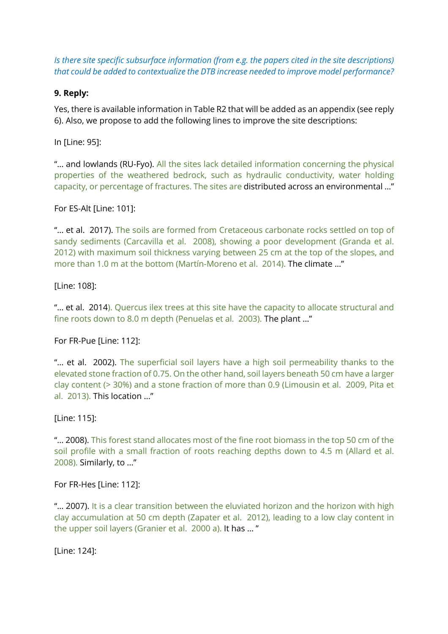*Is there site specific subsurface information (from e.g. the papers cited in the site descriptions) that could be added to contextualize the DTB increase needed to improve model performance?*

### **9. Reply:**

Yes, there is available information in Table R2 that will be added as an appendix (see reply 6). Also, we propose to add the following lines to improve the site descriptions:

In [Line: 95]:

"… and lowlands (RU-Fyo). All the sites lack detailed information concerning the physical properties of the weathered bedrock, such as hydraulic conductivity, water holding capacity, or percentage of fractures. The sites are distributed across an environmental …"

For ES-Alt [Line: 101]:

"… et al. 2017). The soils are formed from Cretaceous carbonate rocks settled on top of sandy sediments (Carcavilla et al. 2008), showing a poor development (Granda et al. 2012) with maximum soil thickness varying between 25 cm at the top of the slopes, and more than 1.0 m at the bottom (Martín-Moreno et al. 2014). The climate …"

[Line: 108]:

"... et al. 2014). Quercus ilex trees at this site have the capacity to allocate structural and fine roots down to 8.0 m depth (Penuelas et al. 2003). The plant …"

For FR-Pue [Line: 112]:

"... et al. 2002). The superficial soil layers have a high soil permeability thanks to the elevated stone fraction of 0.75. On the other hand, soil layers beneath 50 cm have a larger clay content (> 30%) and a stone fraction of more than 0.9 (Limousin et al. 2009, Pita et al. 2013). This location …"

[Line: 115]:

"… 2008). This forest stand allocates most of the fine root biomass in the top 50 cm of the soil profile with a small fraction of roots reaching depths down to 4.5 m (Allard et al. 2008). Similarly, to …"

For FR-Hes [Line: 112]:

"... 2007). It is a clear transition between the eluviated horizon and the horizon with high clay accumulation at 50 cm depth (Zapater et al. 2012), leading to a low clay content in the upper soil layers (Granier et al. 2000 a). It has … "

[Line: 124]: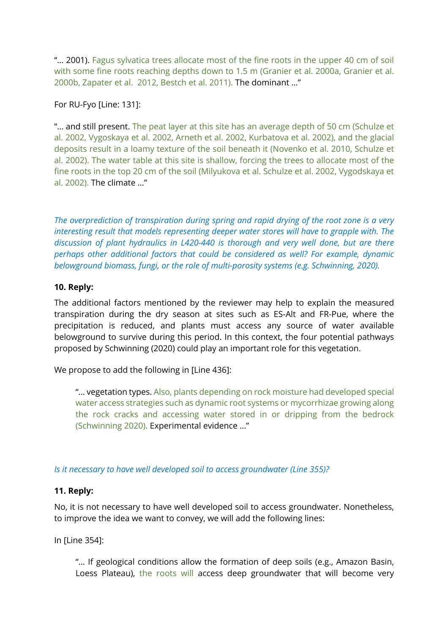"… 2001). Fagus sylvatica trees allocate most of the fine roots in the upper 40 cm of soil with some fine roots reaching depths down to 1.5 m (Granier et al. 2000a, Granier et al. 2000b, Zapater et al. 2012, Bestch et al. 2011). The dominant …"

For RU-Fyo [Line: 131]:

"... and still present. The peat layer at this site has an average depth of 50 cm (Schulze et al. 2002, Vygoskaya et al. 2002, Arneth et al. 2002, Kurbatova et al. 2002), and the glacial deposits result in a loamy texture of the soil beneath it (Novenko et al. 2010, Schulze et al. 2002). The water table at this site is shallow, forcing the trees to allocate most of the fine roots in the top 20 cm of the soil (Milyukova et al. Schulze et al. 2002, Vygodskaya et al. 2002). The climate …"

*The overprediction of transpiration during spring and rapid drying of the root zone is a very interesting result that models representing deeper water stores will have to grapple with. The discussion of plant hydraulics in L420-440 is thorough and very well done, but are there perhaps other additional factors that could be considered as well? For example, dynamic belowground biomass, fungi, or the role of multi-porosity systems (e.g. Schwinning, 2020).*

### **10. Reply:**

The additional factors mentioned by the reviewer may help to explain the measured transpiration during the dry season at sites such as ES-Alt and FR-Pue, where the precipitation is reduced, and plants must access any source of water available belowground to survive during this period. In this context, the four potential pathways proposed by Schwinning (2020) could play an important role for this vegetation.

We propose to add the following in [Line 436]:

"… vegetation types. Also, plants depending on rock moisture had developed special water access strategies such as dynamic root systems or mycorrhizae growing along the rock cracks and accessing water stored in or dripping from the bedrock (Schwinning 2020). Experimental evidence …"

*Is it necessary to have well developed soil to access groundwater (Line 355)?*

# **11. Reply:**

No, it is not necessary to have well developed soil to access groundwater. Nonetheless, to improve the idea we want to convey, we will add the following lines:

In [Line 354]:

"… If geological conditions allow the formation of deep soils (e.g., Amazon Basin, Loess Plateau), the roots will access deep groundwater that will become very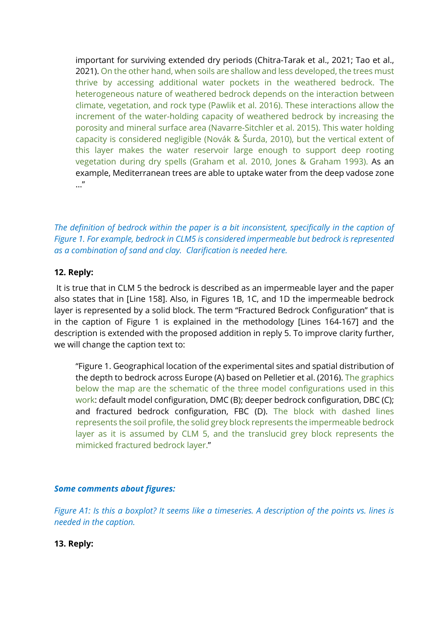important for surviving extended dry periods (Chitra-Tarak et al., 2021; Tao et al., 2021). On the other hand, when soils are shallow and less developed, the trees must thrive by accessing additional water pockets in the weathered bedrock. The heterogeneous nature of weathered bedrock depends on the interaction between climate, vegetation, and rock type (Pawlik et al. 2016). These interactions allow the increment of the water-holding capacity of weathered bedrock by increasing the porosity and mineral surface area (Navarre-Sitchler et al. 2015). This water holding capacity is considered negligible (Novák & Šurda, 2010), but the vertical extent of this layer makes the water reservoir large enough to support deep rooting vegetation during dry spells (Graham et al. 2010, Jones & Graham 1993). As an example, Mediterranean trees are able to uptake water from the deep vadose zone …"

*The definition of bedrock within the paper is a bit inconsistent, specifically in the caption of Figure 1. For example, bedrock in CLM5 is considered impermeable but bedrock is represented as a combination of sand and clay. Clarification is needed here.*

## **12. Reply:**

It is true that in CLM 5 the bedrock is described as an impermeable layer and the paper also states that in [Line 158]. Also, in Figures 1B, 1C, and 1D the impermeable bedrock layer is represented by a solid block. The term "Fractured Bedrock Configuration" that is in the caption of Figure 1 is explained in the methodology [Lines 164-167] and the description is extended with the proposed addition in reply 5. To improve clarity further, we will change the caption text to:

"Figure 1. Geographical location of the experimental sites and spatial distribution of the depth to bedrock across Europe (A) based on Pelletier et al. (2016). The graphics below the map are the schematic of the three model configurations used in this work: default model configuration, DMC (B); deeper bedrock configuration, DBC (C); and fractured bedrock configuration, FBC (D). The block with dashed lines represents the soil profile, the solid grey block represents the impermeable bedrock layer as it is assumed by CLM 5, and the translucid grey block represents the mimicked fractured bedrock layer."

### *Some comments about figures:*

*Figure A1: Is this a boxplot? It seems like a timeseries. A description of the points vs. lines is needed in the caption.*

**13. Reply:**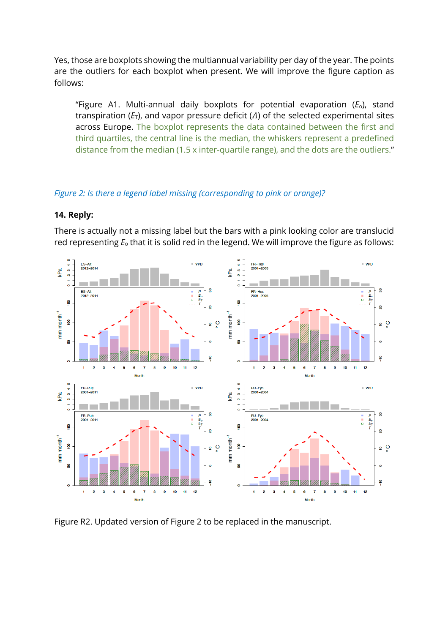Yes, those are boxplots showing the multiannual variability per day of the year. The points are the outliers for each boxplot when present. We will improve the figure caption as follows:

"Figure A1. Multi-annual daily boxplots for potential evaporation (*E*o), stand transpiration  $(E_T)$ , and vapor pressure deficit  $(A)$  of the selected experimental sites across Europe. The boxplot represents the data contained between the first and third quartiles, the central line is the median, the whiskers represent a predefined distance from the median (1.5 x inter-quartile range), and the dots are the outliers."

# *Figure 2: Is there a legend label missing (corresponding to pink or orange)?*

### **14. Reply:**

There is actually not a missing label but the bars with a pink looking color are translucid red representing *E*<sup>o</sup> that it is solid red in the legend. We will improve the figure as follows:



Figure R2. Updated version of Figure 2 to be replaced in the manuscript.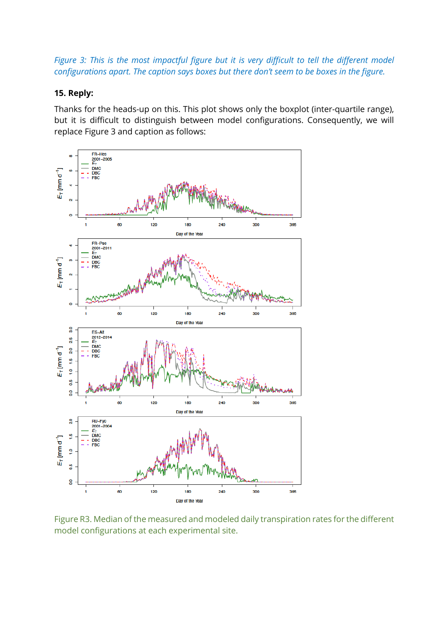*Figure 3: This is the most impactful figure but it is very difficult to tell the different model configurations apart. The caption says boxes but there don't seem to be boxes in the figure.*

#### **15. Reply:**

Thanks for the heads-up on this. This plot shows only the boxplot (inter-quartile range), but it is difficult to distinguish between model configurations. Consequently, we will replace Figure 3 and caption as follows:



Figure R3. Median of the measured and modeled daily transpiration rates for the different model configurations at each experimental site.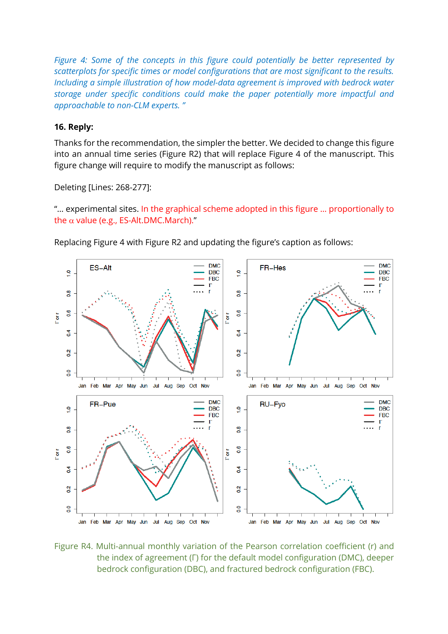*Figure 4: Some of the concepts in this figure could potentially be better represented by scatterplots for specific times or model configurations that are most significant to the results. Including a simple illustration of how model-data agreement is improved with bedrock water storage under specific conditions could make the paper potentially more impactful and approachable to non-CLM experts. "*

# **16. Reply:**

Thanks for the recommendation, the simpler the better. We decided to change this figure into an annual time series (Figure R2) that will replace Figure 4 of the manuscript. This figure change will require to modify the manuscript as follows:

Deleting [Lines: 268-277]:

"… experimental sites. In the graphical scheme adopted in this figure … proportionally to the  $\alpha$  value (e.g., ES-Alt.DMC.March)."

Replacing Figure 4 with Figure R2 and updating the figure's caption as follows:



Figure R4. Multi-annual monthly variation of the Pearson correlation coefficient (r) and the index of agreement (Γ) for the default model configuration (DMC), deeper bedrock configuration (DBC), and fractured bedrock configuration (FBC).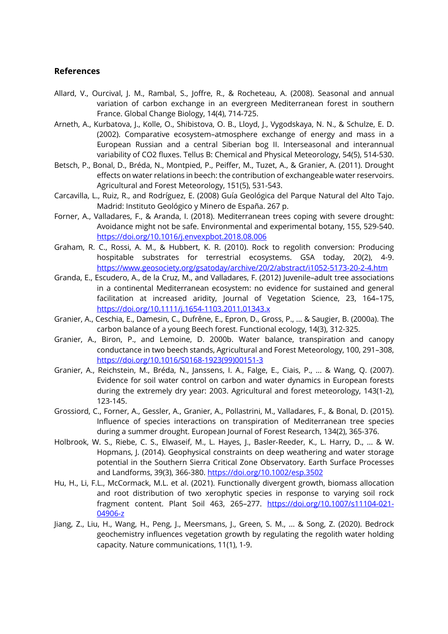#### **References**

- Allard, V., Ourcival, J. M., Rambal, S., Joffre, R., & Rocheteau, A. (2008). Seasonal and annual variation of carbon exchange in an evergreen Mediterranean forest in southern France. Global Change Biology, 14(4), 714-725.
- Arneth, A., Kurbatova, J., Kolle, O., Shibistova, O. B., Lloyd, J., Vygodskaya, N. N., & Schulze, E. D. (2002). Comparative ecosystem–atmosphere exchange of energy and mass in a European Russian and a central Siberian bog II. Interseasonal and interannual variability of CO2 fluxes. Tellus B: Chemical and Physical Meteorology, 54(5), 514-530.
- Betsch, P., Bonal, D., Bréda, N., Montpied, P., Peiffer, M., Tuzet, A., & Granier, A. (2011). Drought effects on water relations in beech: the contribution of exchangeable water reservoirs. Agricultural and Forest Meteorology, 151(5), 531-543.
- Carcavilla, L., Ruiz, R., and Rodríguez, E. (2008) Guía Geológica del Parque Natural del Alto Tajo. Madrid: Instituto Geológico y Minero de España. 267 p.
- Forner, A., Valladares, F., & Aranda, I. (2018). Mediterranean trees coping with severe drought: Avoidance might not be safe. Environmental and experimental botany, 155, 529-540. https://doi.org/10.1016/j.envexpbot.2018.08.006
- Graham, R. C., Rossi, A. M., & Hubbert, K. R. (2010). Rock to regolith conversion: Producing hospitable substrates for terrestrial ecosystems. GSA today, 20(2), 4-9. https://www.geosociety.org/gsatoday/archive/20/2/abstract/i1052-5173-20-2-4.htm
- Granda, E., Escudero, A., de la Cruz, M., and Valladares, F. (2012) Juvenile–adult tree associations in a continental Mediterranean ecosystem: no evidence for sustained and general facilitation at increased aridity, Journal of Vegetation Science, 23, 164–175, https://doi.org/10.1111/j.1654-1103.2011.01343.x
- Granier, A., Ceschia, E., Damesin, C., Dufrêne, E., Epron, D., Gross, P., ... & Saugier, B. (2000a). The carbon balance of a young Beech forest. Functional ecology, 14(3), 312-325.
- Granier, A., Biron, P., and Lemoine, D. 2000b. Water balance, transpiration and canopy conductance in two beech stands, Agricultural and Forest Meteorology, 100, 291–308, https://doi.org/10.1016/S0168-1923(99)00151-3
- Granier, A., Reichstein, M., Bréda, N., Janssens, I. A., Falge, E., Ciais, P., ... & Wang, Q. (2007). Evidence for soil water control on carbon and water dynamics in European forests during the extremely dry year: 2003. Agricultural and forest meteorology, 143(1-2), 123-145.
- Grossiord, C., Forner, A., Gessler, A., Granier, A., Pollastrini, M., Valladares, F., & Bonal, D. (2015). Influence of species interactions on transpiration of Mediterranean tree species during a summer drought. European Journal of Forest Research, 134(2), 365-376.
- Holbrook, W. S., Riebe, C. S., Elwaseif, M., L. Hayes, J., Basler-Reeder, K., L. Harry, D., ... & W. Hopmans, J. (2014). Geophysical constraints on deep weathering and water storage potential in the Southern Sierra Critical Zone Observatory. Earth Surface Processes and Landforms, 39(3), 366-380. https://doi.org/10.1002/esp.3502
- Hu, H., Li, F.L., McCormack, M.L. et al. (2021). Functionally divergent growth, biomass allocation and root distribution of two xerophytic species in response to varying soil rock fragment content. Plant Soil 463, 265–277. https://doi.org/10.1007/s11104-021- 04906-z
- Jiang, Z., Liu, H., Wang, H., Peng, J., Meersmans, J., Green, S. M., ... & Song, Z. (2020). Bedrock geochemistry influences vegetation growth by regulating the regolith water holding capacity. Nature communications, 11(1), 1-9.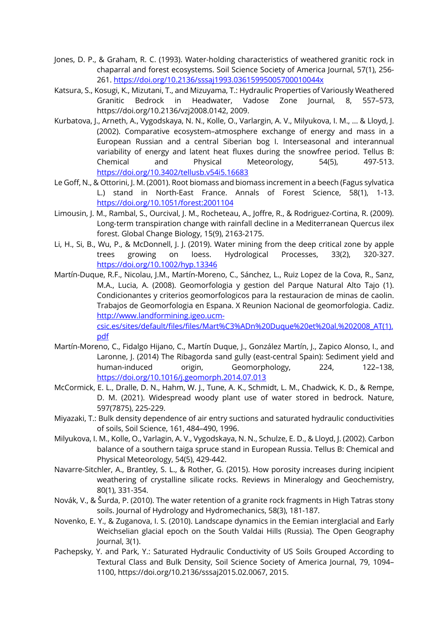- Jones, D. P., & Graham, R. C. (1993). Water-holding characteristics of weathered granitic rock in chaparral and forest ecosystems. Soil Science Society of America Journal, 57(1), 256- 261. https://doi.org/10.2136/sssaj1993.03615995005700010044x
- Katsura, S., Kosugi, K., Mizutani, T., and Mizuyama, T.: Hydraulic Properties of Variously Weathered Granitic Bedrock in Headwater, Vadose Zone Journal, 8, 557–573, https://doi.org/10.2136/vzj2008.0142, 2009.
- Kurbatova, J., Arneth, A., Vygodskaya, N. N., Kolle, O., Varlargin, A. V., Milyukova, I. M., ... & Lloyd, J. (2002). Comparative ecosystem–atmosphere exchange of energy and mass in a European Russian and a central Siberian bog I. Interseasonal and interannual variability of energy and latent heat fluxes during the snowfree period. Tellus B: Chemical and Physical Meteorology, 54(5), 497-513. https://doi.org/10.3402/tellusb.v54i5.16683
- Le Goff, N., & Ottorini, J. M. (2001). Root biomass and biomass increment in a beech (Fagus sylvatica L.) stand in North-East France. Annals of Forest Science, 58(1), 1-13. https://doi.org/10.1051/forest:2001104
- Limousin, J. M., Rambal, S., Ourcival, J. M., Rocheteau, A., Joffre, R., & Rodriguez-Cortina, R. (2009). Long-term transpiration change with rainfall decline in a Mediterranean Quercus ilex forest. Global Change Biology, 15(9), 2163-2175.
- Li, H., Si, B., Wu, P., & McDonnell, J. J. (2019). Water mining from the deep critical zone by apple trees growing on loess. Hydrological Processes, 33(2), 320-327. https://doi.org/10.1002/hyp.13346
- Martín-Duque, R.F., Nicolau, J.M., Martín-Moreno, C., Sánchez, L., Ruiz Lopez de la Cova, R., Sanz, M.A., Lucia, A. (2008). Geomorfologia y gestion del Parque Natural Alto Tajo (1). Condicionantes y criterios geomorfologicos para la restauracion de minas de caolin. Trabajos de Geomorfologia en Espana. X Reunion Nacional de geomorfologia. Cadiz. http://www.landformining.igeo.ucmcsic.es/sites/default/files/files/Mart%C3%ADn%20Duque%20et%20al,%202008\_AT(1).

pdf

- Martín-Moreno, C., Fidalgo Hijano, C., Martín Duque, J., González Martín, J., Zapico Alonso, I., and Laronne, J. (2014) The Ribagorda sand gully (east-central Spain): Sediment yield and human-induced origin, Geomorphology, 224, 122–138, https://doi.org/10.1016/j.geomorph.2014.07.013
- McCormick, E. L., Dralle, D. N., Hahm, W. J., Tune, A. K., Schmidt, L. M., Chadwick, K. D., & Rempe, D. M. (2021). Widespread woody plant use of water stored in bedrock. Nature, 597(7875), 225-229.
- Miyazaki, T.: Bulk density dependence of air entry suctions and saturated hydraulic conductivities of soils, Soil Science, 161, 484–490, 1996.
- Milyukova, I. M., Kolle, O., Varlagin, A. V., Vygodskaya, N. N., Schulze, E. D., & Lloyd, J. (2002). Carbon balance of a southern taiga spruce stand in European Russia. Tellus B: Chemical and Physical Meteorology, 54(5), 429-442.
- Navarre-Sitchler, A., Brantley, S. L., & Rother, G. (2015). How porosity increases during incipient weathering of crystalline silicate rocks. Reviews in Mineralogy and Geochemistry, 80(1), 331-354.
- Novák, V., & Šurda, P. (2010). The water retention of a granite rock fragments in High Tatras stony soils. Journal of Hydrology and Hydromechanics, 58(3), 181-187.
- Novenko, E. Y., & Zuganova, I. S. (2010). Landscape dynamics in the Eemian interglacial and Early Weichselian glacial epoch on the South Valdai Hills (Russia). The Open Geography Journal, 3(1).
- Pachepsky, Y. and Park, Y.: Saturated Hydraulic Conductivity of US Soils Grouped According to Textural Class and Bulk Density, Soil Science Society of America Journal, 79, 1094– 1100, https://doi.org/10.2136/sssaj2015.02.0067, 2015.